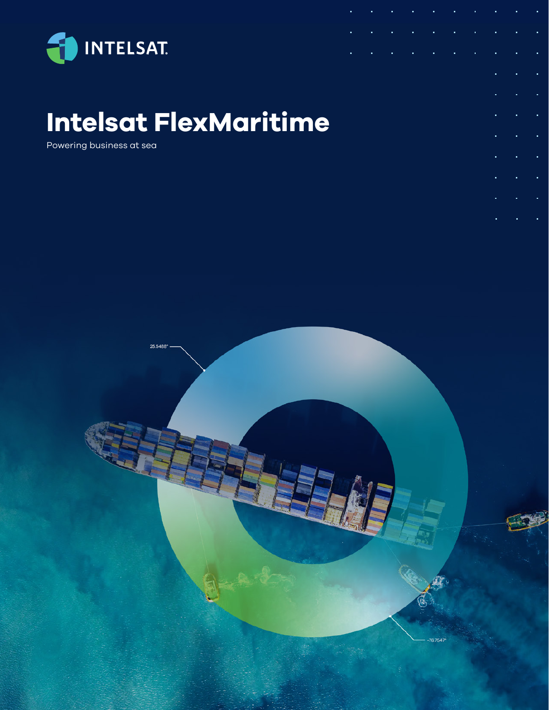

# **Intelsat FlexMaritime**

Powering business at sea

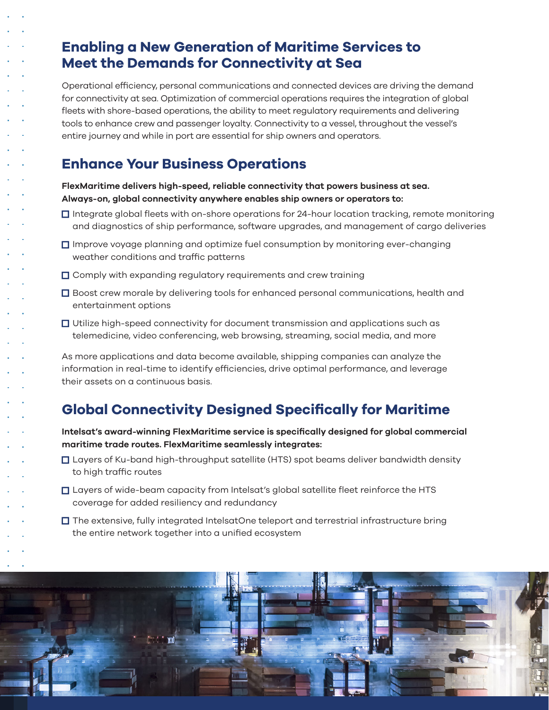## **Enabling a New Generation of Maritime Services to Meet the Demands for Connectivity at Sea**

Operational efficiency, personal communications and connected devices are driving the demand for connectivity at sea. Optimization of commercial operations requires the integration of global fleets with shore-based operations, the ability to meet regulatory requirements and delivering tools to enhance crew and passenger loyalty. Connectivity to a vessel, throughout the vessel's entire journey and while in port are essential for ship owners and operators.

# **Enhance Your Business Operations**

**FlexMaritime delivers high-speed, reliable connectivity that powers business at sea. Always-on, global connectivity anywhere enables ship owners or operators to:**

- $\Box$  Integrate global fleets with on-shore operations for 24-hour location tracking, remote monitoring and diagnostics of ship performance, software upgrades, and management of cargo deliveries
- $\square$  Improve voyage planning and optimize fuel consumption by monitoring ever-changing weather conditions and traffic patterns
- $\Box$  Comply with expanding regulatory requirements and crew training
- □ Boost crew morale by delivering tools for enhanced personal communications, health and entertainment options
- $\Box$  Utilize high-speed connectivity for document transmission and applications such as telemedicine, video conferencing, web browsing, streaming, social media, and more

As more applications and data become available, shipping companies can analyze the information in real-time to identify efficiencies, drive optimal performance, and leverage their assets on a continuous basis.

# **Global Connectivity Designed Specifically for Maritime**

**Intelsat's award-winning FlexMaritime service is specifically designed for global commercial maritime trade routes. FlexMaritime seamlessly integrates:**

- Layers of Ku-band high-throughput satellite (HTS) spot beams deliver bandwidth density to high traffic routes
- $\Box$  Layers of wide-beam capacity from Intelsat's global satellite fleet reinforce the HTS coverage for added resiliency and redundancy
- $\square$  The extensive, fully integrated IntelsatOne teleport and terrestrial infrastructure bring the entire network together into a unified ecosystem

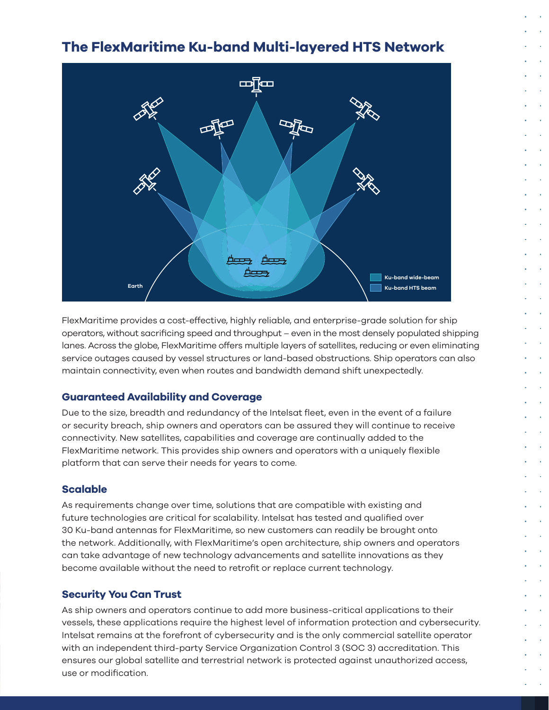## **The FlexMaritime Ku-band Multi-layered HTS Network**



FlexMaritime provides a cost-effective, highly reliable, and enterprise-grade solution for ship operators, without sacrificing speed and throughput – even in the most densely populated shipping lanes. Across the globe, FlexMaritime offers multiple layers of satellites, reducing or even eliminating service outages caused by vessel structures or land-based obstructions. Ship operators can also maintain connectivity, even when routes and bandwidth demand shift unexpectedly.

#### **Guaranteed Availability and Coverage**

Due to the size, breadth and redundancy of the Intelsat fleet, even in the event of a failure or security breach, ship owners and operators can be assured they will continue to receive connectivity. New satellites, capabilities and coverage are continually added to the FlexMaritime network. This provides ship owners and operators with a uniquely flexible platform that can serve their needs for years to come.

#### **Scalable**

As requirements change over time, solutions that are compatible with existing and future technologies are critical for scalability. Intelsat has tested and qualified over 30 Ku-band antennas for FlexMaritime, so new customers can readily be brought onto the network. Additionally, with FlexMaritime's open architecture, ship owners and operators can take advantage of new technology advancements and satellite innovations as they become available without the need to retrofit or replace current technology.

#### **Security You Can Trust**

As ship owners and operators continue to add more business-critical applications to their vessels, these applications require the highest level of information protection and cybersecurity. Intelsat remains at the forefront of cybersecurity and is the only commercial satellite operator with an independent third-party Service Organization Control 3 (SOC 3) accreditation. This ensures our global satellite and terrestrial network is protected against unauthorized access, use or modification.